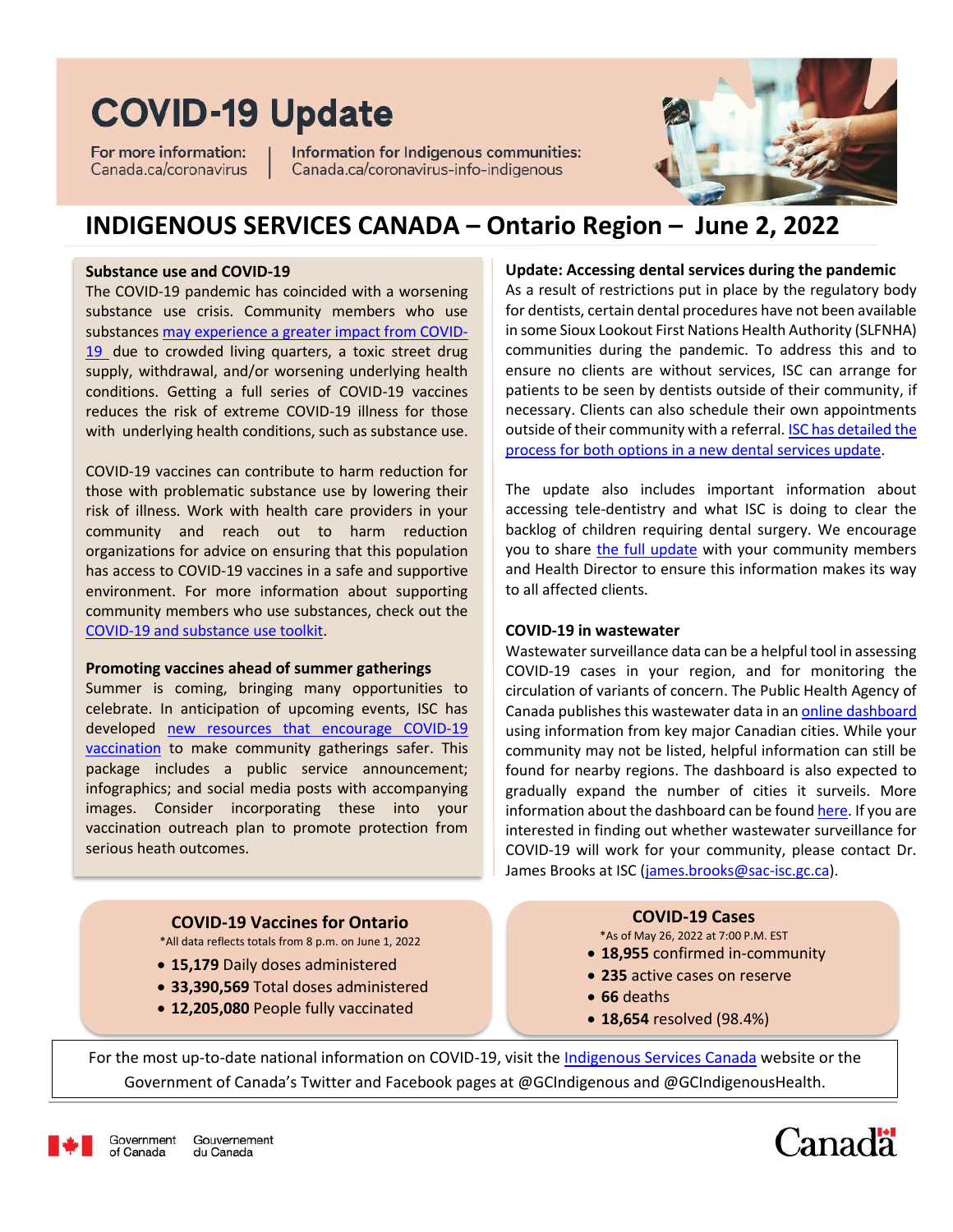# **COVID-19 Update**

For more information: Canada.ca/coronavirus Information for Indigenous communities: Canada.ca/coronavirus-info-indigenous



### **INDIGENOUS SERVICES CANADA – Ontario Region – June 2, 2022**

#### **Substance use and COVID-19**

The COVID-19 pandemic has coincided with a worsening substance use crisis. Community members who use substance[s may experience a greater impact from COVID-](https://www.canada.ca/en/health-canada/services/substance-use/helping-people-who-use-substances-covid-19.html#a1)[19](https://www.canada.ca/en/health-canada/services/substance-use/helping-people-who-use-substances-covid-19.html#a1) due to crowded living quarters, a toxic street drug supply, withdrawal, and/or worsening underlying health conditions. Getting a full series of COVID-19 vaccines reduces the risk of extreme COVID-19 illness for those with underlying health conditions, such as substance use.

COVID-19 vaccines can contribute to harm reduction for those with problematic substance use by lowering their risk of illness. Work with health care providers in your community and reach out to harm reduction organizations for advice on ensuring that this population has access to COVID-19 vaccines in a safe and supportive environment. For more information about supporting community members who use substances, check out the [COVID-19 and substance use toolkit.](https://www.canada.ca/en/health-canada/services/substance-use/toolkit-substance-use-covid-19.html)

#### **Promoting vaccines ahead of summer gatherings**

Summer is coming, bringing many opportunities to celebrate. In anticipation of upcoming events, ISC has developed [new resources that encourage](https://www.onehealth.ca/LinkClick.aspx?fileticket=Quk8kMnBxQk%3d&tabid=1263&portalid=4) COVID-19 [vaccination](https://www.onehealth.ca/LinkClick.aspx?fileticket=Quk8kMnBxQk%3d&tabid=1263&portalid=4) to make community gatherings safer. This package includes a public service announcement; infographics; and social media posts with accompanying images. Consider incorporating these into your vaccination outreach plan to promote protection from serious heath outcomes.

> **15,179** Daily doses administered **33,390,569** Total doses administered **12,205,080** People fully vaccinated

**COVID-19 Vaccines for Ontario** \*All data reflects totals from 8 p.m. on June 1, 2022

#### **Update: Accessing dental services during the pandemic**

As a result of restrictions put in place by the regulatory body for dentists, certain dental procedures have not been available in some Sioux Lookout First Nations Health Authority (SLFNHA) communities during the pandemic. To address this and to ensure no clients are without services, ISC can arrange for patients to be seen by dentists outside of their community, if necessary. Clients can also schedule their own appointments outside of their community with a referral[. ISC has detailed the](https://www.onehealth.ca/LinkClick.aspx?fileticket=cgu74qnb_t0%3d&tabid=1263&portalid=4)  [process for both options in a new dental services update.](https://www.onehealth.ca/LinkClick.aspx?fileticket=cgu74qnb_t0%3d&tabid=1263&portalid=4)

The update also includes important information about accessing tele-dentistry and what ISC is doing to clear the backlog of children requiring dental surgery. We encourage you to share [the full update](https://www.onehealth.ca/LinkClick.aspx?fileticket=cgu74qnb_t0%3d&tabid=1263&portalid=4) with your community members and Health Director to ensure this information makes its way to all affected clients.

#### **COVID-19 in wastewater**

Wastewater surveillance data can be a helpful tool in assessing COVID-19 cases in your region, and for monitoring the circulation of variants of concern. The Public Health Agency of Canada publishes this wastewater data in a[n online dashboard](https://health-infobase.canada.ca/covid-19/wastewater/) using information from key major Canadian cities. While your community may not be listed, helpful information can still be found for nearby regions. The dashboard is also expected to gradually expand the number of cities it surveils. More information about the dashboard can be foun[d here.](https://health-infobase.canada.ca/covid-19/wastewater/about.html) If you are interested in finding out whether wastewater surveillance for COVID-19 will work for your community, please contact Dr. James Brooks at ISC [\(james.brooks@sac-isc.gc.ca\)](file:///C:/Users/LeyC/AppData/Local/Microsoft/Windows/INetCache/Content.Outlook/3CG8N9RW/james.brooks@sac-isc.gc.ca).

#### **COVID-19 Cases**

\*As of May 26, 2022 at 7:00 P.M. EST

- **18,955** confirmed in-community
- **235** active cases on reserve
- **66** deaths
- **18,654** resolved (98.4%)

For the most up-to-date national information on COVID-19, visit th[e Indigenous Services Canada](https://www.canada.ca/en/indigenous-services-canada.html?utm_campaign=not-applicable&utm_medium=vanity-url&utm_source=canada-ca_www.canada.ca/indigenous-services) website or the Government of Canada's Twitter and Facebook pages at @GCIndigenous and @GCIndigenousHealth.